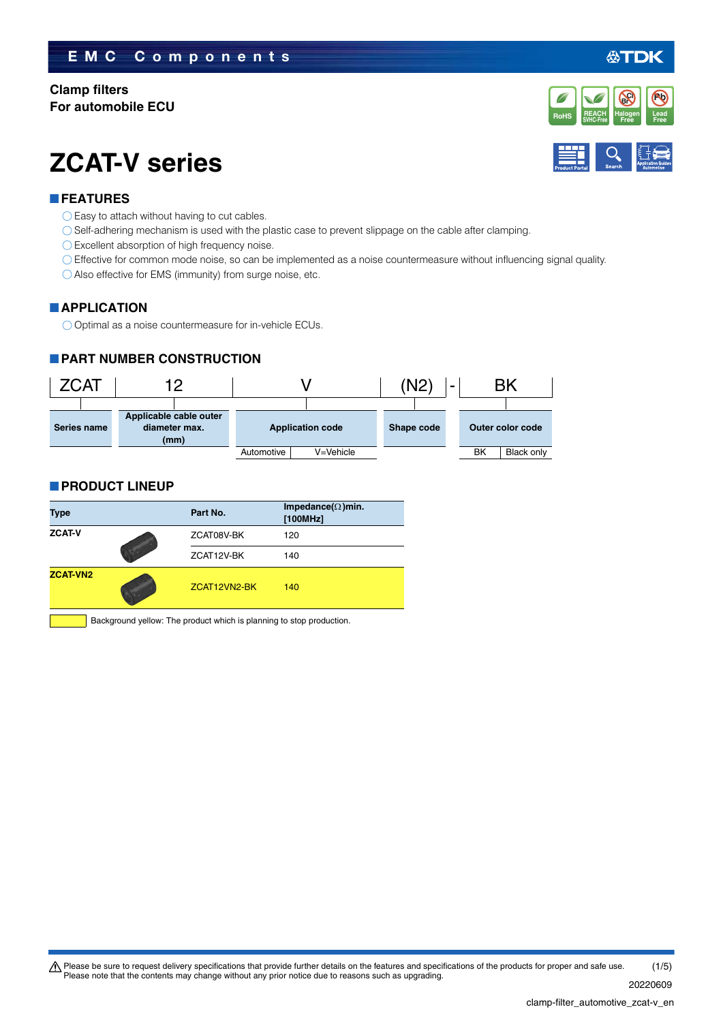### **EMC Components**

#### **Clamp filters For automobile ECU**

# **ZCAT-V series**

#### **FEATURES**

- $\bigcirc$  Easy to attach without having to cut cables.
- Self-adhering mechanism is used with the plastic case to prevent slippage on the cable after clamping.
- Excellent absorption of high frequency noise.
- Effective for common mode noise, so can be implemented as a noise countermeasure without influencing signal quality.
- Also effective for EMS (immunity) from surge noise, etc.

#### **APPLICATION**

O Optimal as a noise countermeasure for in-vehicle ECUs.

#### **PART NUMBER CONSTRUCTION**



#### **PRODUCT LINEUP**

| <b>Type</b>     |  | Part No.     | Impedance( $\Omega$ )min.<br>[100MHz] |  |
|-----------------|--|--------------|---------------------------------------|--|
| <b>ZCAT-V</b>   |  | ZCAT08V-BK   | 120                                   |  |
|                 |  | ZCAT12V-BK   | 140                                   |  |
| <b>ZCAT-VN2</b> |  | ZCAT12VN2-BK | 140                                   |  |

Background yellow: The product which is planning to stop production.

#### 20220609

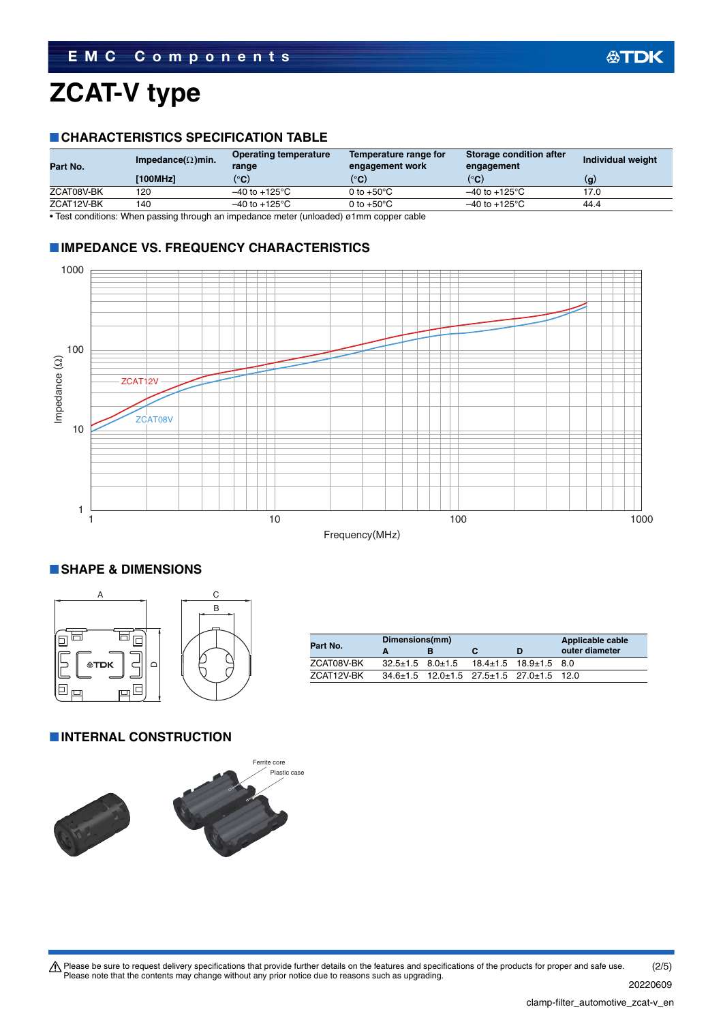# **ZCAT-V type**

#### **CHARACTERISTICS SPECIFICATION TABLE**

| Part No.   | Impedance( $\Omega$ )min. | <b>Operating temperature</b><br>range | Temperature range for<br>engagement work | Storage condition after<br>engagement | Individual weight |
|------------|---------------------------|---------------------------------------|------------------------------------------|---------------------------------------|-------------------|
|            | [100MHz]                  | $^{\circ}$ C)                         | $^{\circ}$ C)                            | $^{\circ}$ C)                         | (g                |
| ZCAT08V-BK | 120                       | $-40$ to $+125^{\circ}$ C             | 0 to $+50^{\circ}$ C                     | $-40$ to $+125^{\circ}$ C             | 17.0              |
| ZCAT12V-BK | 140                       | $-40$ to $+125^{\circ}$ C             | 0 to $+50^{\circ}$ C                     | $-40$ to $+125^{\circ}$ C             | 44.4              |

• Test conditions: When passing through an impedance meter (unloaded) ø1mm copper cable

#### **IMPEDANCE VS. FREQUENCY CHARACTERISTICS**



#### Frequency(MHz)

#### **SHAPE & DIMENSIONS**



|            | Dimensions(mm) |  | Applicable cable                                                 |                |
|------------|----------------|--|------------------------------------------------------------------|----------------|
| Part No.   |                |  | D                                                                | outer diameter |
| ZCAT08V-BK |                |  | $32.5 \pm 1.5$ $8.0 \pm 1.5$ $18.4 \pm 1.5$ $18.9 \pm 1.5$ $8.0$ |                |
| ZCAT12V-BK |                |  | $34.6 \pm 1.5$ 12.0 $\pm 1.5$ 27.5 $\pm 1.5$ 27.0 $\pm 1.5$ 12.0 |                |

#### **INTERNAL CONSTRUCTION**



Please be sure to request delivery specifications that provide further details on the features and specifications of the products for proper and safe use.<br>Please note that the contents may change without any prior notice d (2/5)

20220609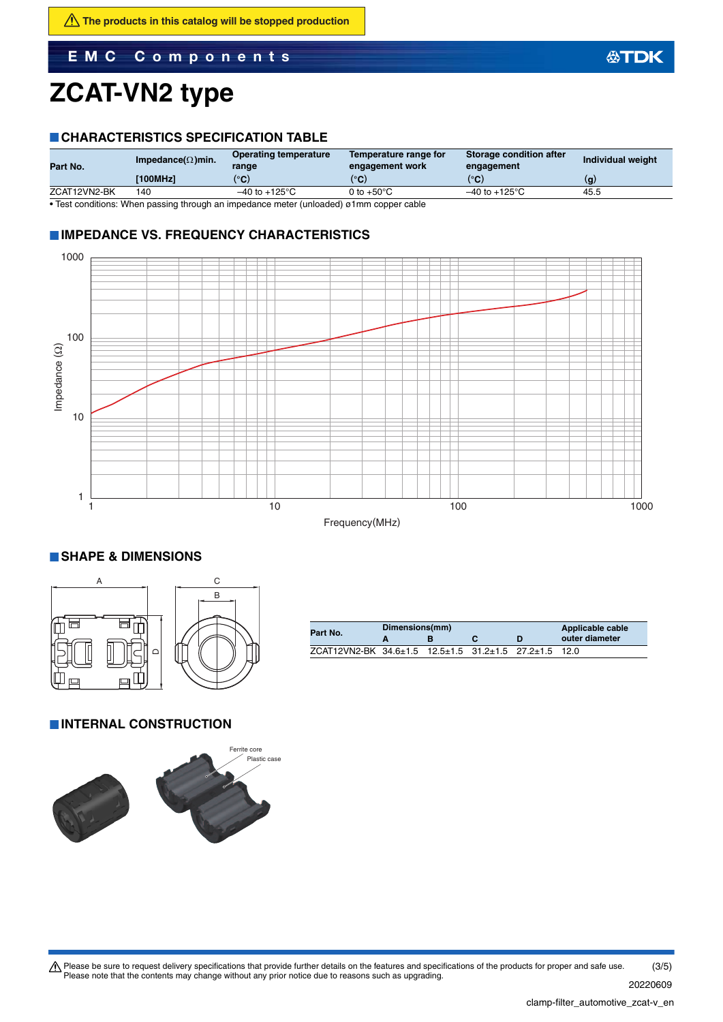# **ZCAT-VN2 type**

#### **CHARACTERISTICS SPECIFICATION TABLE**

| Part No.     | Impedance( $\Omega$ )min. | <b>Operating temperature</b><br>range | Temperature range for<br>engagement work | Storage condition after<br>engagement | Individual weight |
|--------------|---------------------------|---------------------------------------|------------------------------------------|---------------------------------------|-------------------|
|              | [100MHz]                  | (°C)                                  | (°C)                                     | (°C)                                  | (g                |
| ZCAT12VN2-BK | 140                       | $-40$ to $+125^{\circ}$ C             | 0 to $+50^{\circ}$ C                     | $-40$ to $+125^{\circ}$ C             | 45.5              |

• Test conditions: When passing through an impedance meter (unloaded) ø1mm copper cable

#### **IMPEDANCE VS. FREQUENCY CHARACTERISTICS**



**SHAPE & DIMENSIONS**



| Part No.                                              | Dimensions(mm) |  | Applicable cable |                |
|-------------------------------------------------------|----------------|--|------------------|----------------|
|                                                       |                |  |                  | outer diameter |
| ZCAT12VN2-BK 34.6±1.5 12.5±1.5 31.2±1.5 27.2±1.5 12.0 |                |  |                  |                |

#### **INTERNAL CONSTRUCTION**



20220609

公TDK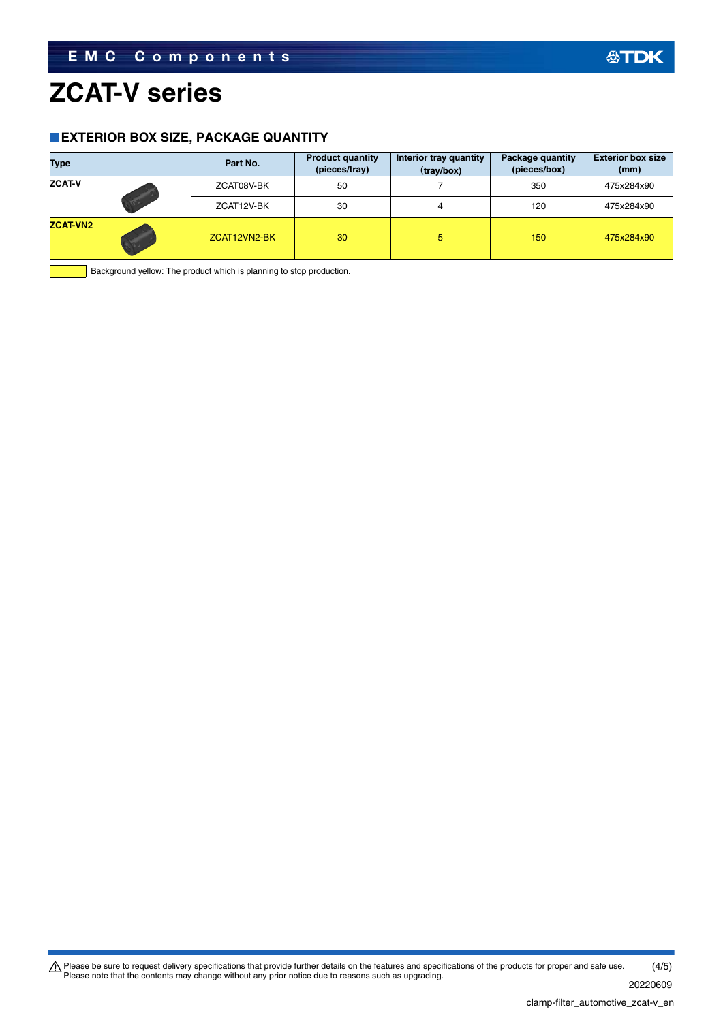### **ZCAT-V series**

 $\overline{\phantom{a}}$ 

#### **EXTERIOR BOX SIZE, PACKAGE QUANTITY**

| <b>Type</b>     | Part No.     | <b>Product quantity</b><br>(pieces/tray) | Interior tray quantity<br>(tray/box) | Package quantity<br>(pieces/box) | <b>Exterior box size</b><br>(mm) |
|-----------------|--------------|------------------------------------------|--------------------------------------|----------------------------------|----------------------------------|
| <b>ZCAT-V</b>   | ZCAT08V-BK   | 50                                       |                                      | 350                              | 475x284x90                       |
|                 | ZCAT12V-BK   | 30                                       | 4                                    | 120                              | 475x284x90                       |
| <b>ZCAT-VN2</b> | ZCAT12VN2-BK | 30                                       | 5.                                   | 150                              | 475x284x90                       |

 $\blacksquare$  Background yellow: The product which is planning to stop production.

Please be sure to request delivery specifications that provide further details on the features and specifications of the products for proper and safe use.<br>Please note that the contents may change without any prior notice d (4/5)

**公TDK**